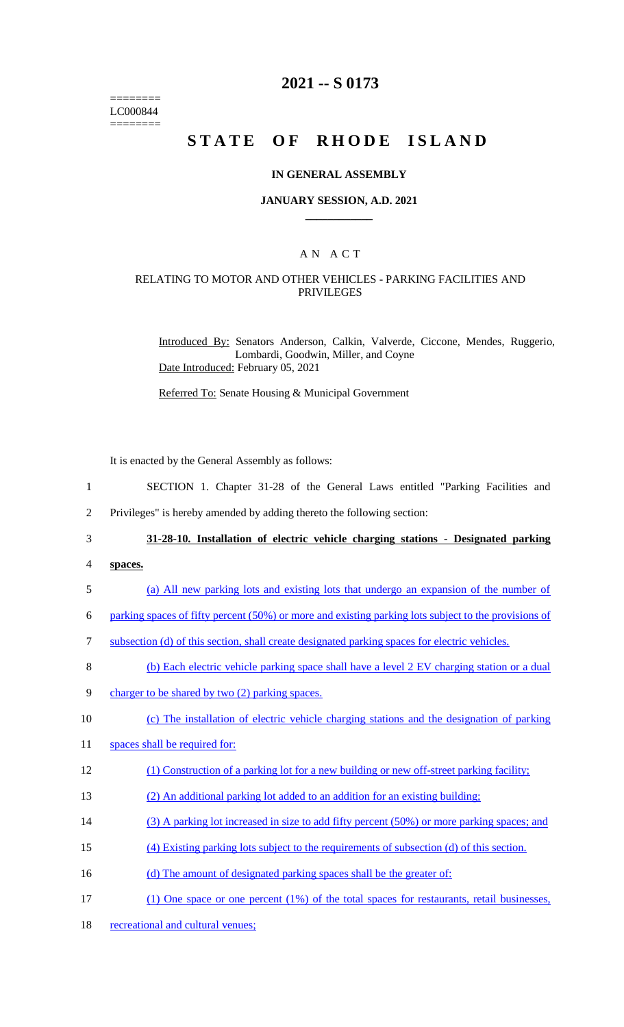======== LC000844 ========

# **2021 -- S 0173**

# **STATE OF RHODE ISLAND**

#### **IN GENERAL ASSEMBLY**

#### **JANUARY SESSION, A.D. 2021 \_\_\_\_\_\_\_\_\_\_\_\_**

## A N A C T

### RELATING TO MOTOR AND OTHER VEHICLES - PARKING FACILITIES AND PRIVILEGES

Introduced By: Senators Anderson, Calkin, Valverde, Ciccone, Mendes, Ruggerio, Lombardi, Goodwin, Miller, and Coyne Date Introduced: February 05, 2021

Referred To: Senate Housing & Municipal Government

It is enacted by the General Assembly as follows:

- 1 SECTION 1. Chapter 31-28 of the General Laws entitled "Parking Facilities and
- 2 Privileges" is hereby amended by adding thereto the following section:

3 **31-28-10. Installation of electric vehicle charging stations - Designated parking** 

- 4 **spaces.**
- 5 (a) All new parking lots and existing lots that undergo an expansion of the number of

6 parking spaces of fifty percent (50%) or more and existing parking lots subject to the provisions of

- 7 subsection (d) of this section, shall create designated parking spaces for electric vehicles.
- 8 (b) Each electric vehicle parking space shall have a level 2 EV charging station or a dual
- 9 charger to be shared by two (2) parking spaces.
- 10 (c) The installation of electric vehicle charging stations and the designation of parking
- 11 spaces shall be required for:
- 12 (1) Construction of a parking lot for a new building or new off-street parking facility;
- 13 (2) An additional parking lot added to an addition for an existing building;
- 14 (3) A parking lot increased in size to add fifty percent (50%) or more parking spaces; and
- 15 (4) Existing parking lots subject to the requirements of subsection (d) of this section.
- 16 (d) The amount of designated parking spaces shall be the greater of:
- 17 (1) One space or one percent (1%) of the total spaces for restaurants, retail businesses,
- 18 recreational and cultural venues;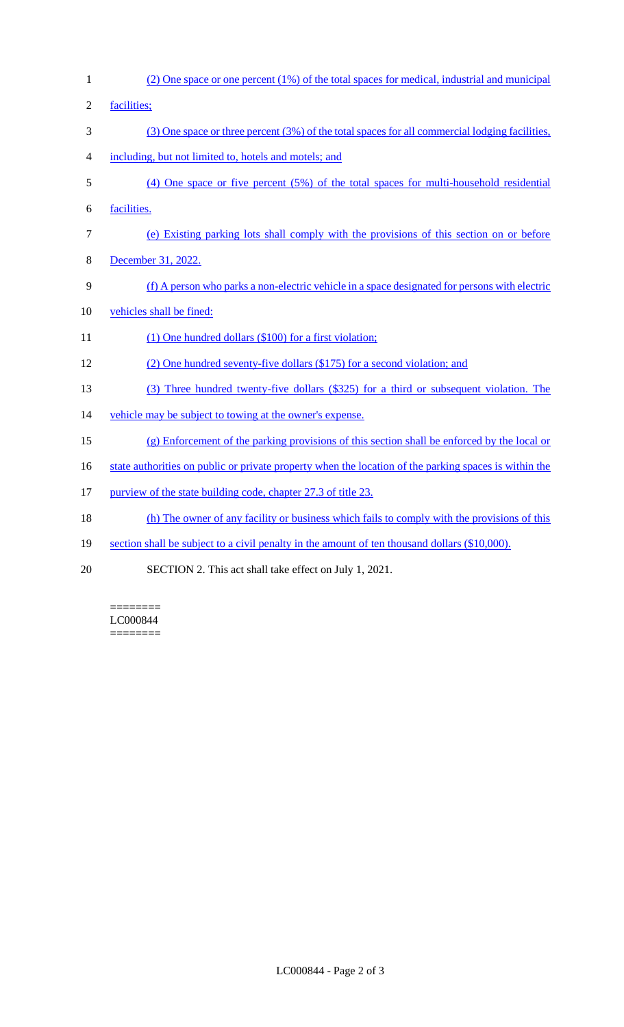| $\mathbf{1}$     | (2) One space or one percent (1%) of the total spaces for medical, industrial and municipal           |
|------------------|-------------------------------------------------------------------------------------------------------|
| $\overline{2}$   | facilities;                                                                                           |
| 3                | $(3)$ One space or three percent $(3%)$ of the total spaces for all commercial lodging facilities,    |
| $\overline{4}$   | including, but not limited to, hotels and motels; and                                                 |
| 5                | $(4)$ One space or five percent $(5%)$ of the total spaces for multi-household residential            |
| 6                | facilities.                                                                                           |
| $\boldsymbol{7}$ | (e) Existing parking lots shall comply with the provisions of this section on or before               |
| 8                | December 31, 2022.                                                                                    |
| 9                | (f) A person who parks a non-electric vehicle in a space designated for persons with electric         |
| 10               | vehicles shall be fined:                                                                              |
| 11               | $(1)$ One hundred dollars $(\$100)$ for a first violation;                                            |
| 12               | (2) One hundred seventy-five dollars (\$175) for a second violation; and                              |
| 13               | (3) Three hundred twenty-five dollars (\$325) for a third or subsequent violation. The                |
| 14               | vehicle may be subject to towing at the owner's expense.                                              |
| 15               | $(g)$ Enforcement of the parking provisions of this section shall be enforced by the local or         |
| 16               | state authorities on public or private property when the location of the parking spaces is within the |
| 17               | purview of the state building code, chapter 27.3 of title 23.                                         |
| 18               | (h) The owner of any facility or business which fails to comply with the provisions of this           |
| 19               | section shall be subject to a civil penalty in the amount of ten thousand dollars (\$10,000).         |
| 20               | SECTION 2. This act shall take effect on July 1, 2021.                                                |

======== LC000844 ========